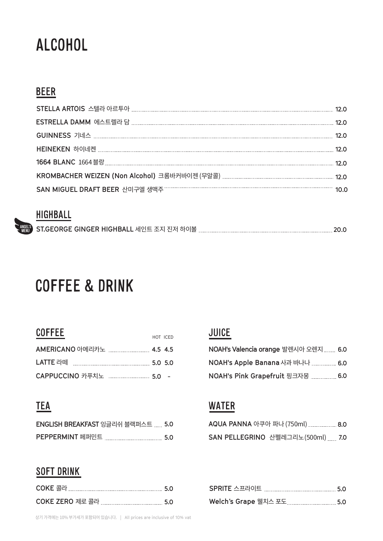# ALCOHOL

### BEER

| 12.O |
|------|
| 12.0 |
| 12 N |
|      |
|      |
|      |

#### **HIGHBALL**

|  | ₩ ST.GEORGE GINGER HIGHBALL 세인트 조지 진저 하이볼 . |  | 20.0 |
|--|---------------------------------------------|--|------|
|--|---------------------------------------------|--|------|

HOT ICED

### COFFEE & DRINK

#### **COFFEE**

### **TEA**

| <b>ENGLISH BREAKFAST</b> 잉글리쉬 블랙퍼스트  5.0 |      |
|------------------------------------------|------|
| PEPPERMINT 페퍼민트                          | -5.0 |

#### **SOFT DRINK**

|                 | -5.0 |
|-----------------|------|
| COKE ZERO 제로 콜라 | -5.0 |

### JUICE

| NOAH's Valencia orange 발렌시아 오렌지  6.0 |     |
|--------------------------------------|-----|
|                                      |     |
| NOAH's Pink Grapefruit 핑크자몽          | 6.0 |

#### **WATER**

| AQUA PANNA 아쿠아 파나 (750ml)  8.0   |  |
|----------------------------------|--|
| SAN PELLEGRINO 산펠레그리노(500ml) 7.0 |  |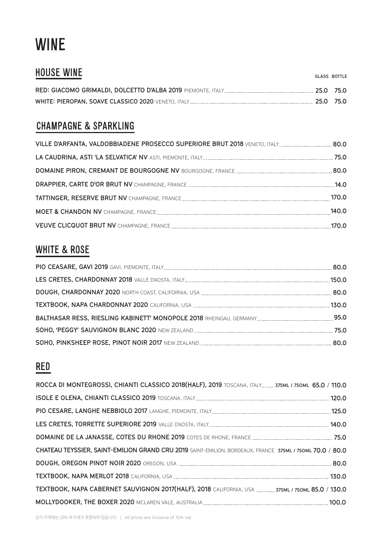# WINE

| <b>HOUSE WINE</b> | <b>GLASS BOTTLE</b> |
|-------------------|---------------------|
|                   | 25.0 75.0           |
|                   | 25.0 75.0           |

### CHAMPAGNE & SPARKLING

| 75.0  |
|-------|
|       |
|       |
| 170.0 |
| 140.0 |
| 170 O |

#### WHITE & ROSE

#### RED

| ROCCA DI MONTEGROSSI, CHIANTI CLASSICO 2018(HALF), 2019 TOSCANA, ITALY 375ML / 750ML 65.0 / 110.0        |  |
|----------------------------------------------------------------------------------------------------------|--|
|                                                                                                          |  |
|                                                                                                          |  |
|                                                                                                          |  |
|                                                                                                          |  |
| CHATEAU TEYSSIER, SAINT-EMILION GRAND CRU 2019 SAINT-EMILION, BORDEAUX, FRANCE 375ML / 750ML 70.0 / 80.0 |  |
|                                                                                                          |  |
|                                                                                                          |  |
| TEXTBOOK, NAPA CABERNET SAUVIGNON 2017(HALF), 2018 CALIFORNIA, USA  375ML / 750ML 85.0 / 130.0           |  |
|                                                                                                          |  |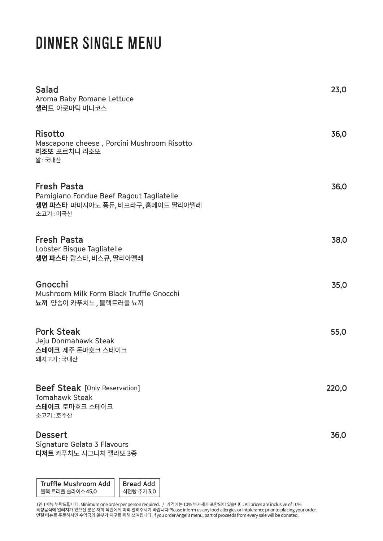# DINNER SINGLE MENU

| Salad<br>Aroma Baby Romane Lettuce<br><b>샐러드</b> 아로마틱 미니코스                                                     | 23,0  |
|----------------------------------------------------------------------------------------------------------------|-------|
| <b>Risotto</b><br>Mascapone cheese, Porcini Mushroom Risotto<br>리조또 포르치니 리조또<br>쌀: 국내산                         | 36,0  |
| <b>Fresh Pasta</b><br>Pamigiano Fondue Beef Ragout Tagliatelle<br>생면 파스타 파미지아노 퐁듀, 비프라구, 홈메이드 딸리아뗄레<br>소고기:미국산 | 36,0  |
| <b>Fresh Pasta</b><br>Lobster Bisque Tagliatelle<br>생면 파스타 랍스타, 비스큐, 딸리아뗄레                                     | 38,0  |
| Gnocchi<br>Mushroom Milk Form Black Truffle Gnocchi<br><b>뇨끼</b> 양송이 카푸치노, 블랙트러플 뇨끼                            | 35,0  |
| <b>Pork Steak</b><br>Jeju Donmahawk Steak<br>스테이크 제주 돈마호크 스테이크<br>돼지고기: 국내산                                    | 55,0  |
| <b>Beef Steak</b> [Only Reservation]<br><b>Tomahawk Steak</b><br>스테이크 토마호크 스테이크<br>소고기: 호주산                    | 220,0 |
| <b>Dessert</b><br>Signature Gelato 3 Flavours<br>디저트 카푸치노 시그니처 젤라또 3종                                          | 36,0  |

**Bread Add** 식전빵�추가 **3,0 Truffle Mushroom Add** 블랙 트러플 슬라이스 **45,0** 

1인 1메뉴 부탁드립니다. Minimum one order per person required. / 가격에는 10% 부가세가 포함되어 있습니다. All prices are inclusive of 10%. 득성음식에 알러시가 있으신 문은 서의 식원에게 미리 알려주시기 바랍니나 Please inform us any food allergies or intolerance prior to placing your order. 엔셀 메뉴를 수문하시면 수익금의 일부가 지구를 위해 쓰여십니다. If you order Angel's menu, part of proceeds from every sale will be donated.